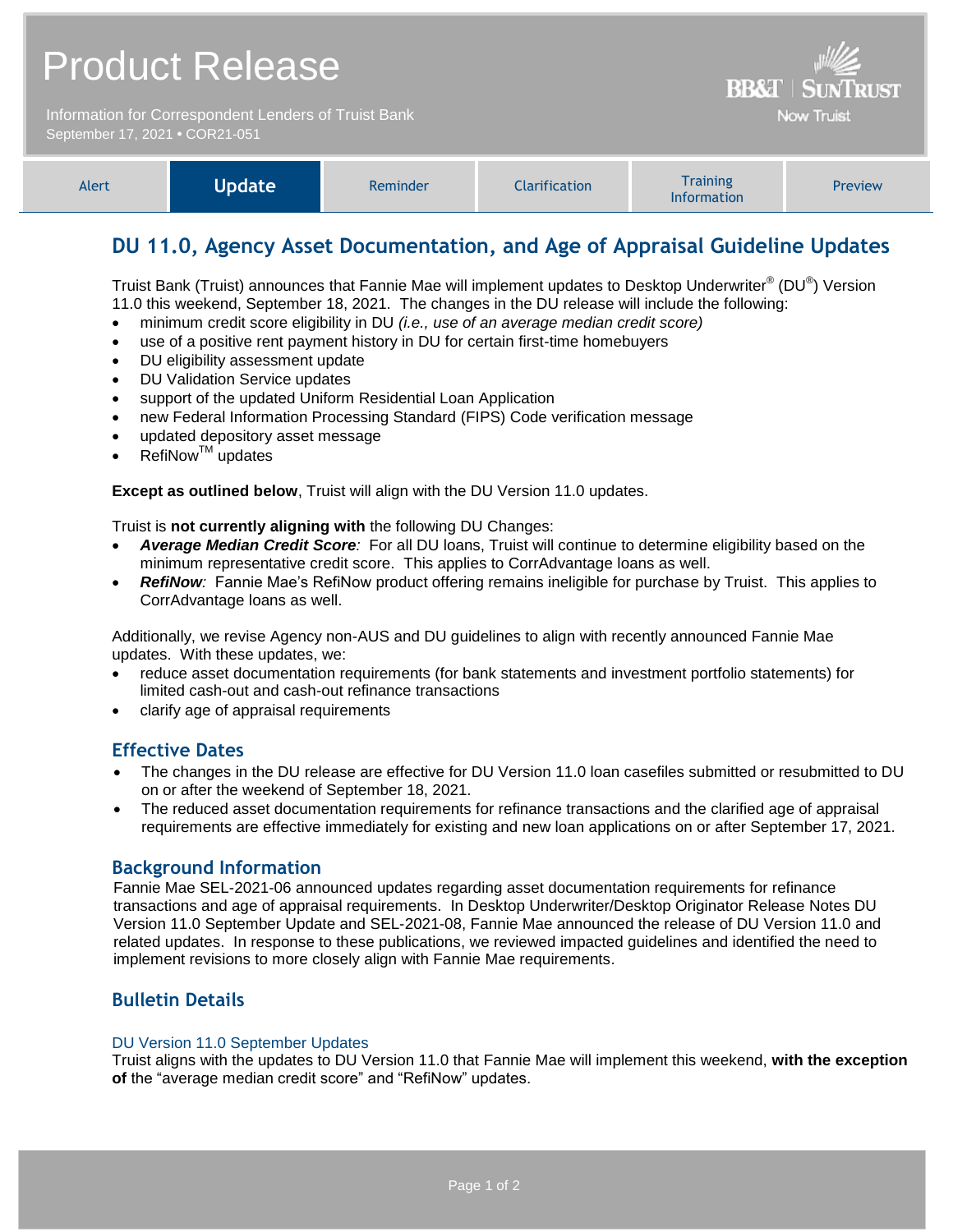|                                                                                        | <b>Product Release</b> | <b>BB&amp;T   SUNTRUST</b> |                      |                                |         |
|----------------------------------------------------------------------------------------|------------------------|----------------------------|----------------------|--------------------------------|---------|
| Information for Correspondent Lenders of Truist Bank<br>September 17, 2021 . COR21-051 |                        |                            |                      | <b>Now Truist</b>              |         |
| Alert                                                                                  | <b>Update</b>          | Reminder                   | <b>Clarification</b> | <b>Training</b><br>Information | Preview |

# **DU 11.0, Agency Asset Documentation, and Age of Appraisal Guideline Updates**

Truist Bank (Truist) announces that Fannie Mae will implement updates to Desktop Underwriter® (DU®) Version 11.0 this weekend, September 18, 2021. The changes in the DU release will include the following:

- minimum credit score eligibility in DU *(i.e., use of an average median credit score)*
- use of a positive rent payment history in DU for certain first-time homebuyers
- DU eligibility assessment update
- DU Validation Service updates
- support of the updated Uniform Residential Loan Application
- new Federal Information Processing Standard (FIPS) Code verification message
- updated depository asset message
- RefiNow<sup>™</sup> updates

**Except as outlined below**, Truist will align with the DU Version 11.0 updates.

Truist is **not currently aligning with** the following DU Changes:

- *Average Median Credit Score:* For all DU loans, Truist will continue to determine eligibility based on the minimum representative credit score. This applies to CorrAdvantage loans as well.
- *RefiNow:* Fannie Mae's RefiNow product offering remains ineligible for purchase by Truist. This applies to CorrAdvantage loans as well.

Additionally, we revise Agency non-AUS and DU guidelines to align with recently announced Fannie Mae updates. With these updates, we:

- reduce asset documentation requirements (for bank statements and investment portfolio statements) for limited cash-out and cash-out refinance transactions
- clarify age of appraisal requirements

# **Effective Dates**

- The changes in the DU release are effective for DU Version 11.0 loan casefiles submitted or resubmitted to DU on or after the weekend of September 18, 2021.
- The reduced asset documentation requirements for refinance transactions and the clarified age of appraisal requirements are effective immediately for existing and new loan applications on or after September 17, 2021.

# **Background Information**

Fannie Mae SEL-2021-06 announced updates regarding asset documentation requirements for refinance transactions and age of appraisal requirements. In Desktop Underwriter/Desktop Originator Release Notes DU Version 11.0 September Update and SEL-2021-08, Fannie Mae announced the release of DU Version 11.0 and related updates. In response to these publications, we reviewed impacted guidelines and identified the need to implement revisions to more closely align with Fannie Mae requirements.

# **Bulletin Details**

#### DU Version 11.0 September Updates

Truist aligns with the updates to DU Version 11.0 that Fannie Mae will implement this weekend, **with the exception of** the "average median credit score" and "RefiNow" updates.